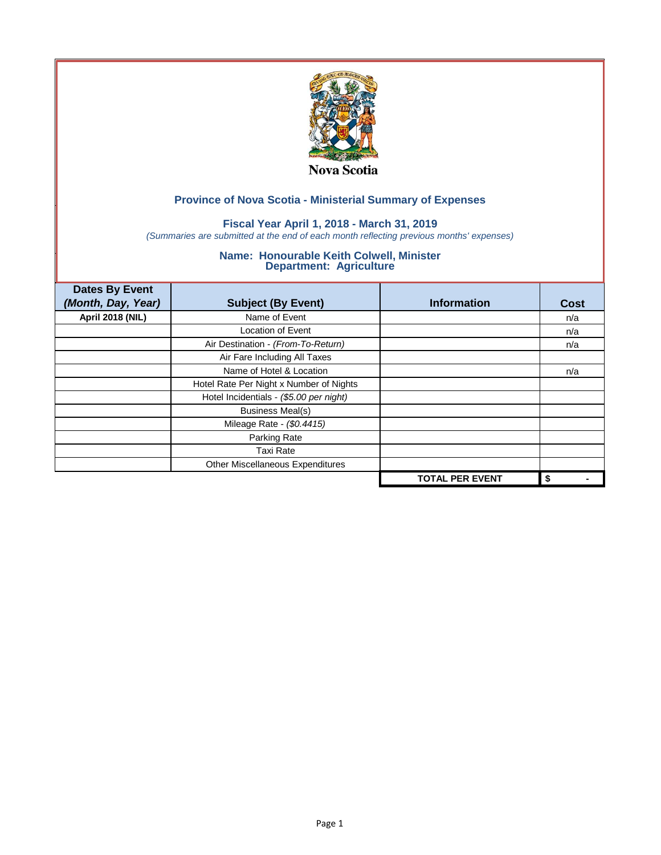

## **Fiscal Year April 1, 2018 - March 31, 2019**

*(Summaries are submitted at the end of each month reflecting previous months' expenses)*

| <b>Dates By Event</b>   |                                         |                        |             |
|-------------------------|-----------------------------------------|------------------------|-------------|
| (Month, Day, Year)      | <b>Subject (By Event)</b>               | <b>Information</b>     | <b>Cost</b> |
| <b>April 2018 (NIL)</b> | Name of Event                           |                        | n/a         |
|                         | Location of Event                       |                        | n/a         |
|                         | Air Destination - (From-To-Return)      |                        | n/a         |
|                         | Air Fare Including All Taxes            |                        |             |
|                         | Name of Hotel & Location                |                        | n/a         |
|                         | Hotel Rate Per Night x Number of Nights |                        |             |
|                         | Hotel Incidentials - (\$5.00 per night) |                        |             |
|                         | <b>Business Meal(s)</b>                 |                        |             |
|                         | Mileage Rate - (\$0.4415)               |                        |             |
|                         | Parking Rate                            |                        |             |
|                         | <b>Taxi Rate</b>                        |                        |             |
|                         | Other Miscellaneous Expenditures        |                        |             |
|                         |                                         | <b>TOTAL PER EVENT</b> | \$          |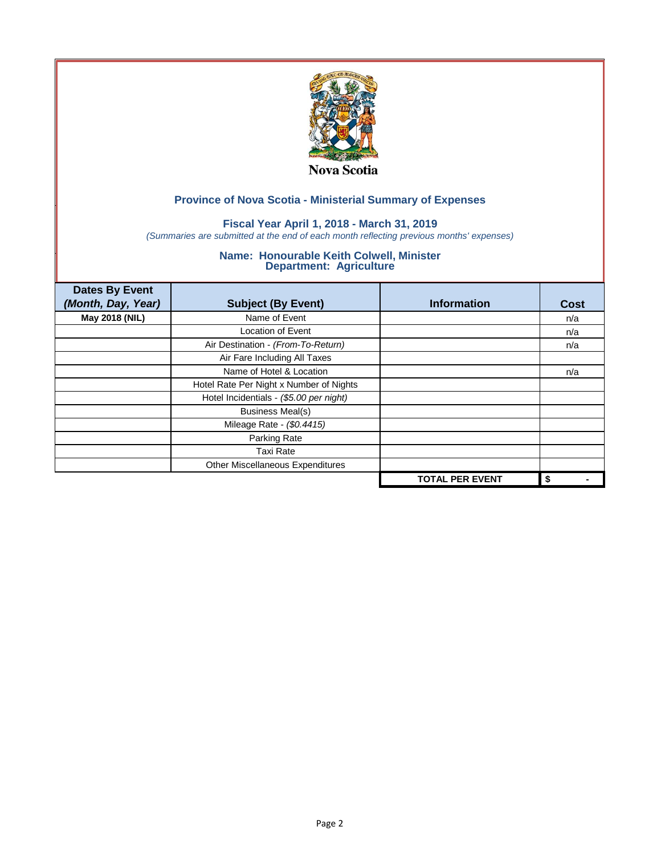

## **Fiscal Year April 1, 2018 - March 31, 2019**

*(Summaries are submitted at the end of each month reflecting previous months' expenses)*

| <b>Dates By Event</b><br>(Month, Day, Year) | <b>Subject (By Event)</b>               | <b>Information</b>     | <b>Cost</b> |
|---------------------------------------------|-----------------------------------------|------------------------|-------------|
| May 2018 (NIL)                              | Name of Event                           |                        | n/a         |
|                                             | Location of Event                       |                        | n/a         |
|                                             | Air Destination - (From-To-Return)      |                        | n/a         |
|                                             | Air Fare Including All Taxes            |                        |             |
|                                             | Name of Hotel & Location                |                        | n/a         |
|                                             | Hotel Rate Per Night x Number of Nights |                        |             |
|                                             | Hotel Incidentials - (\$5.00 per night) |                        |             |
|                                             | <b>Business Meal(s)</b>                 |                        |             |
|                                             | Mileage Rate - (\$0.4415)               |                        |             |
|                                             | Parking Rate                            |                        |             |
|                                             | <b>Taxi Rate</b>                        |                        |             |
|                                             | Other Miscellaneous Expenditures        |                        |             |
|                                             |                                         | <b>TOTAL PER EVENT</b> | \$          |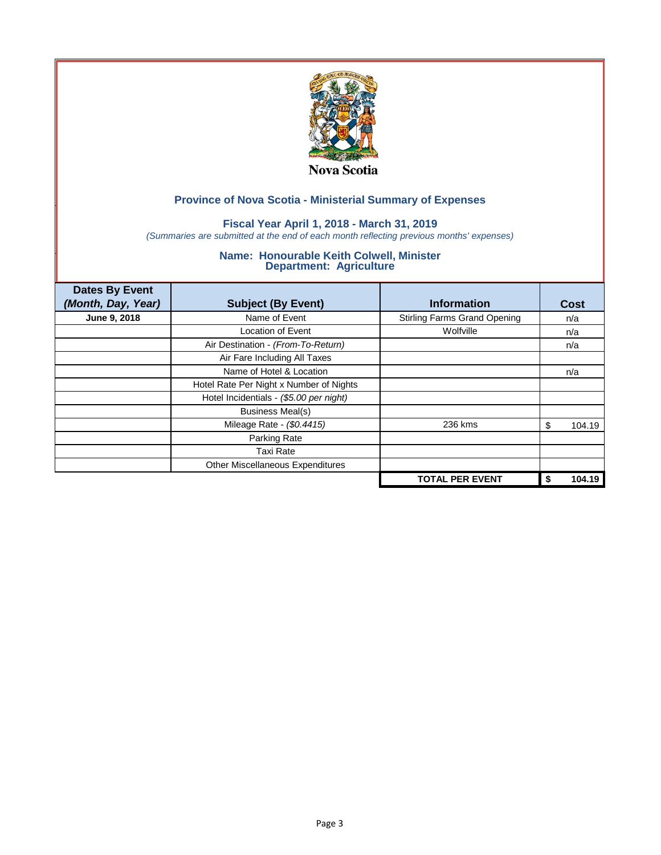

## **Fiscal Year April 1, 2018 - March 31, 2019**

*(Summaries are submitted at the end of each month reflecting previous months' expenses)*

| <b>Dates By Event</b><br>(Month, Day, Year) | <b>Subject (By Event)</b>               | <b>Information</b>                  | Cost        |
|---------------------------------------------|-----------------------------------------|-------------------------------------|-------------|
| June 9, 2018                                | Name of Event                           | <b>Stirling Farms Grand Opening</b> | n/a         |
|                                             | <b>Location of Event</b>                | Wolfville                           | n/a         |
|                                             | Air Destination - (From-To-Return)      |                                     | n/a         |
|                                             | Air Fare Including All Taxes            |                                     |             |
|                                             | Name of Hotel & Location                |                                     | n/a         |
|                                             | Hotel Rate Per Night x Number of Nights |                                     |             |
|                                             | Hotel Incidentials - (\$5.00 per night) |                                     |             |
|                                             | <b>Business Meal(s)</b>                 |                                     |             |
|                                             | Mileage Rate - (\$0.4415)               | 236 kms                             | 104.19<br>S |
|                                             | Parking Rate                            |                                     |             |
|                                             | Taxi Rate                               |                                     |             |
|                                             | Other Miscellaneous Expenditures        |                                     |             |
|                                             |                                         | <b>TOTAL PER EVENT</b>              | 104.19      |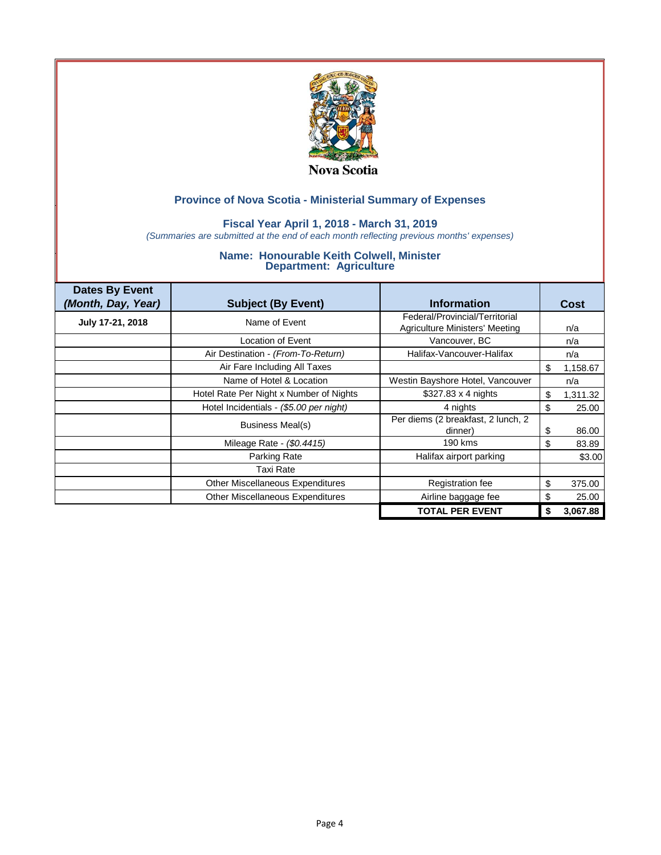

### **Fiscal Year April 1, 2018 - March 31, 2019**

*(Summaries are submitted at the end of each month reflecting previous months' expenses)*

| <b>Dates By Event</b><br>(Month, Day, Year) | <b>Subject (By Event)</b>               | <b>Information</b>                                               | Cost           |
|---------------------------------------------|-----------------------------------------|------------------------------------------------------------------|----------------|
| July 17-21, 2018                            | Name of Event                           | Federal/Provincial/Territorial<br>Agriculture Ministers' Meeting | n/a            |
|                                             | Location of Event                       | Vancouver, BC                                                    | n/a            |
|                                             | Air Destination - (From-To-Return)      | Halifax-Vancouver-Halifax                                        | n/a            |
|                                             | Air Fare Including All Taxes            |                                                                  | \$<br>1,158.67 |
|                                             | Name of Hotel & Location                | Westin Bayshore Hotel, Vancouver                                 | n/a            |
|                                             | Hotel Rate Per Night x Number of Nights | $$327.83 \times 4$ nights                                        | \$<br>1,311.32 |
|                                             | Hotel Incidentials - (\$5.00 per night) | 4 nights                                                         | \$<br>25.00    |
|                                             | Business Meal(s)                        | Per diems (2 breakfast, 2 lunch, 2<br>dinner)                    | \$<br>86.00    |
|                                             | Mileage Rate - (\$0.4415)               | 190 kms                                                          | \$<br>83.89    |
|                                             | Parking Rate                            | Halifax airport parking                                          | \$3.00         |
|                                             | <b>Taxi Rate</b>                        |                                                                  |                |
|                                             | Other Miscellaneous Expenditures        | Registration fee                                                 | \$<br>375.00   |
|                                             | Other Miscellaneous Expenditures        | Airline baggage fee                                              | \$<br>25.00    |
|                                             |                                         | <b>TOTAL PER EVENT</b>                                           | \$<br>3,067.88 |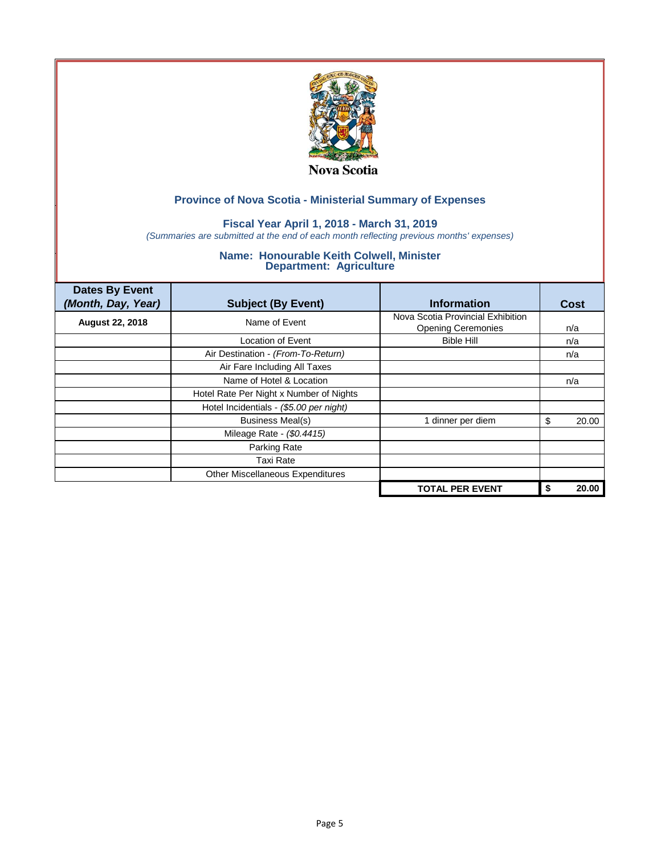

### **Fiscal Year April 1, 2018 - March 31, 2019**

*(Summaries are submitted at the end of each month reflecting previous months' expenses)*

| <b>Dates By Event</b><br>(Month, Day, Year) | <b>Subject (By Event)</b>               | <b>Information</b>                                             | Cost        |
|---------------------------------------------|-----------------------------------------|----------------------------------------------------------------|-------------|
| <b>August 22, 2018</b>                      | Name of Event                           | Nova Scotia Provincial Exhibition<br><b>Opening Ceremonies</b> | n/a         |
|                                             | <b>Location of Event</b>                | <b>Bible Hill</b>                                              | n/a         |
|                                             | Air Destination - (From-To-Return)      |                                                                | n/a         |
|                                             | Air Fare Including All Taxes            |                                                                |             |
|                                             | Name of Hotel & Location                |                                                                | n/a         |
|                                             | Hotel Rate Per Night x Number of Nights |                                                                |             |
|                                             | Hotel Incidentials - (\$5.00 per night) |                                                                |             |
|                                             | <b>Business Meal(s)</b>                 | 1 dinner per diem                                              | 20.00<br>S  |
|                                             | Mileage Rate - (\$0.4415)               |                                                                |             |
|                                             | Parking Rate                            |                                                                |             |
|                                             | <b>Taxi Rate</b>                        |                                                                |             |
|                                             | <b>Other Miscellaneous Expenditures</b> |                                                                |             |
|                                             |                                         | <b>TOTAL PER EVENT</b>                                         | 20.00<br>\$ |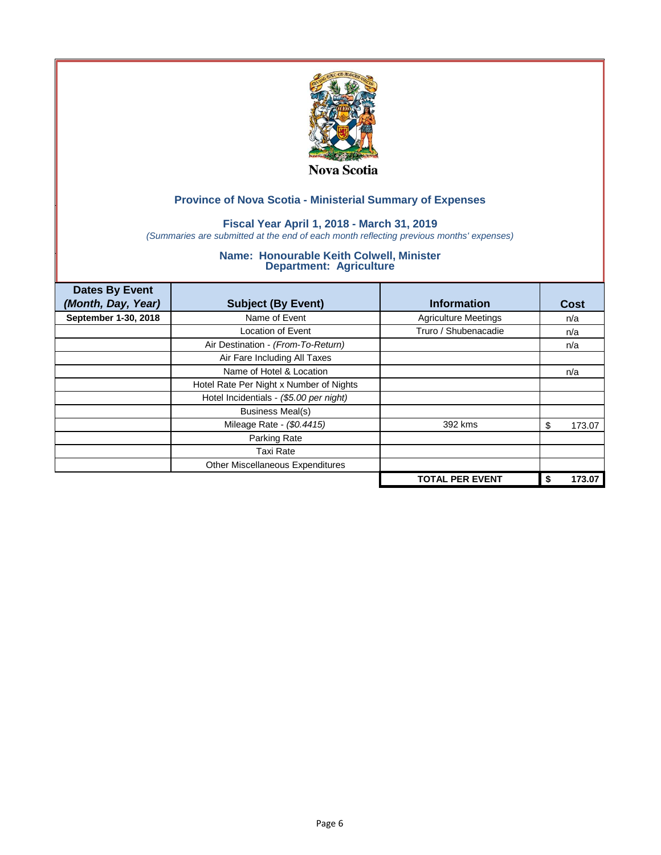

### **Fiscal Year April 1, 2018 - March 31, 2019**

*(Summaries are submitted at the end of each month reflecting previous months' expenses)*

| <b>Dates By Event</b><br>(Month, Day, Year) | <b>Subject (By Event)</b>               | <b>Information</b>          | Cost        |
|---------------------------------------------|-----------------------------------------|-----------------------------|-------------|
| September 1-30, 2018                        | Name of Event                           | <b>Agriculture Meetings</b> | n/a         |
|                                             | <b>Location of Event</b>                | Truro / Shubenacadie        | n/a         |
|                                             | Air Destination - (From-To-Return)      |                             | n/a         |
|                                             | Air Fare Including All Taxes            |                             |             |
|                                             | Name of Hotel & Location                |                             | n/a         |
|                                             | Hotel Rate Per Night x Number of Nights |                             |             |
|                                             | Hotel Incidentials - (\$5.00 per night) |                             |             |
|                                             | <b>Business Meal(s)</b>                 |                             |             |
|                                             | Mileage Rate - (\$0.4415)               | 392 kms                     | 173.07<br>S |
|                                             | Parking Rate                            |                             |             |
|                                             | Taxi Rate                               |                             |             |
|                                             | Other Miscellaneous Expenditures        |                             |             |
|                                             |                                         | <b>TOTAL PER EVENT</b>      | 173.07      |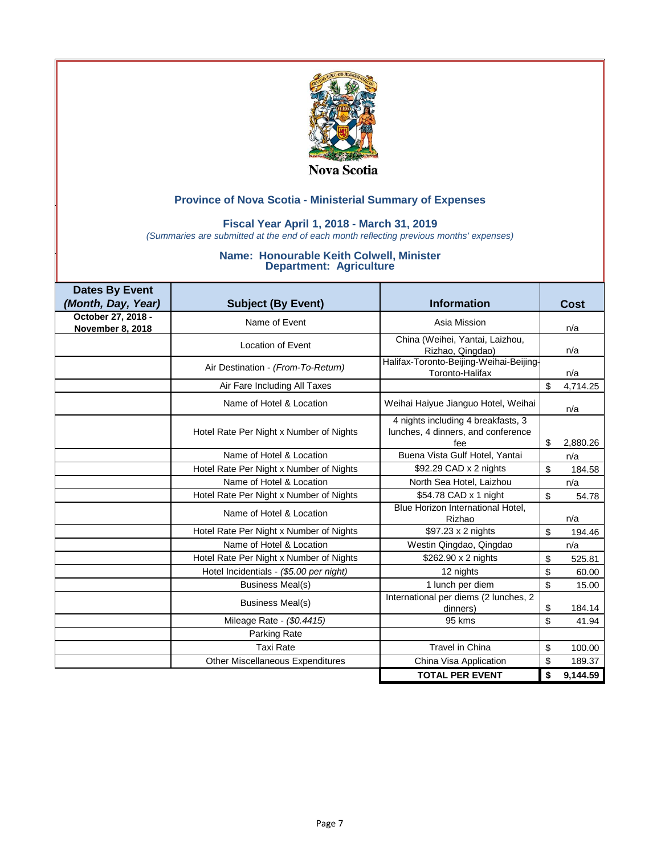

### **Fiscal Year April 1, 2018 - March 31, 2019**

*(Summaries are submitted at the end of each month reflecting previous months' expenses)*

| <b>Dates By Event</b>                  |                                         |                                                                                 |                |          |
|----------------------------------------|-----------------------------------------|---------------------------------------------------------------------------------|----------------|----------|
| (Month, Day, Year)                     | <b>Subject (By Event)</b>               | <b>Information</b>                                                              |                | Cost     |
| October 27, 2018 -<br>November 8, 2018 | Name of Event                           | Asia Mission                                                                    |                | n/a      |
|                                        | Location of Event                       | China (Weihei, Yantai, Laizhou,<br>Rizhao, Qingdao)                             |                | n/a      |
|                                        | Air Destination - (From-To-Return)      | Halifax-Toronto-Beijing-Weihai-Beijing-<br>Toronto-Halifax                      |                | n/a      |
|                                        | Air Fare Including All Taxes            |                                                                                 | \$             | 4,714.25 |
|                                        | Name of Hotel & Location                | Weihai Haiyue Jianguo Hotel, Weihai                                             |                | n/a      |
|                                        | Hotel Rate Per Night x Number of Nights | 4 nights including 4 breakfasts, 3<br>lunches, 4 dinners, and conference<br>fee | \$             | 2,880.26 |
|                                        | Name of Hotel & Location                | Buena Vista Gulf Hotel, Yantai                                                  |                | n/a      |
|                                        | Hotel Rate Per Night x Number of Nights | \$92.29 CAD x 2 nights                                                          | $\mathfrak{s}$ | 184.58   |
|                                        | Name of Hotel & Location                | North Sea Hotel, Laizhou                                                        |                | n/a      |
|                                        | Hotel Rate Per Night x Number of Nights | \$54.78 CAD x 1 night                                                           | $\mathfrak s$  | 54.78    |
|                                        | Name of Hotel & Location                | Blue Horizon International Hotel,<br>Rizhao                                     |                | n/a      |
|                                        | Hotel Rate Per Night x Number of Nights | \$97.23 x 2 nights                                                              | \$             | 194.46   |
|                                        | Name of Hotel & Location                | Westin Qingdao, Qingdao                                                         |                | n/a      |
|                                        | Hotel Rate Per Night x Number of Nights | \$262.90 x 2 nights                                                             | \$             | 525.81   |
|                                        | Hotel Incidentials - (\$5.00 per night) | 12 nights                                                                       | \$             | 60.00    |
|                                        | Business Meal(s)                        | 1 lunch per diem                                                                | \$             | 15.00    |
|                                        | Business Meal(s)                        | International per diems (2 lunches, 2<br>dinners)                               | \$             | 184.14   |
|                                        | Mileage Rate - (\$0.4415)               | 95 kms                                                                          | \$             | 41.94    |
|                                        | Parking Rate                            |                                                                                 |                |          |
|                                        | <b>Taxi Rate</b>                        | <b>Travel in China</b>                                                          | \$             | 100.00   |
|                                        | Other Miscellaneous Expenditures        | China Visa Application                                                          | \$             | 189.37   |
|                                        |                                         | <b>TOTAL PER EVENT</b>                                                          | \$             | 9.144.59 |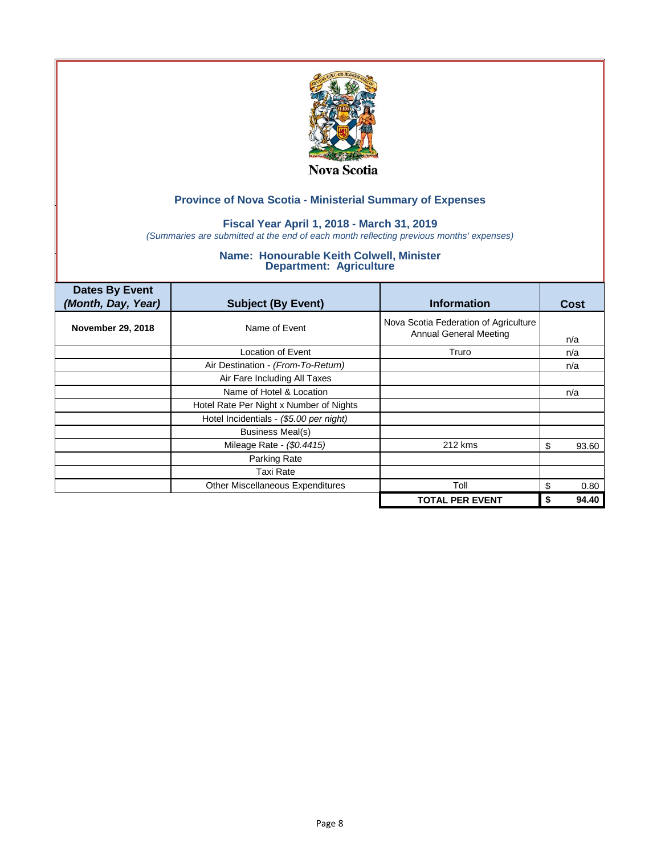

### **Fiscal Year April 1, 2018 - March 31, 2019**

*(Summaries are submitted at the end of each month reflecting previous months' expenses)*

| <b>Dates By Event</b><br>(Month, Day, Year) | <b>Subject (By Event)</b>               | <b>Information</b>                                                     | Cost        |
|---------------------------------------------|-----------------------------------------|------------------------------------------------------------------------|-------------|
| <b>November 29, 2018</b>                    | Name of Event                           | Nova Scotia Federation of Agriculture<br><b>Annual General Meeting</b> | n/a         |
|                                             | Location of Event                       | Truro                                                                  | n/a         |
|                                             | Air Destination - (From-To-Return)      |                                                                        | n/a         |
|                                             | Air Fare Including All Taxes            |                                                                        |             |
|                                             | Name of Hotel & Location                |                                                                        | n/a         |
|                                             | Hotel Rate Per Night x Number of Nights |                                                                        |             |
|                                             | Hotel Incidentials - (\$5.00 per night) |                                                                        |             |
|                                             | <b>Business Meal(s)</b>                 |                                                                        |             |
|                                             | Mileage Rate - (\$0.4415)               | 212 kms                                                                | 93.60<br>\$ |
|                                             | Parking Rate                            |                                                                        |             |
|                                             | Taxi Rate                               |                                                                        |             |
|                                             | Other Miscellaneous Expenditures        | Toll                                                                   | 0.80<br>\$  |
|                                             |                                         | <b>TOTAL PER EVENT</b>                                                 | 94.40       |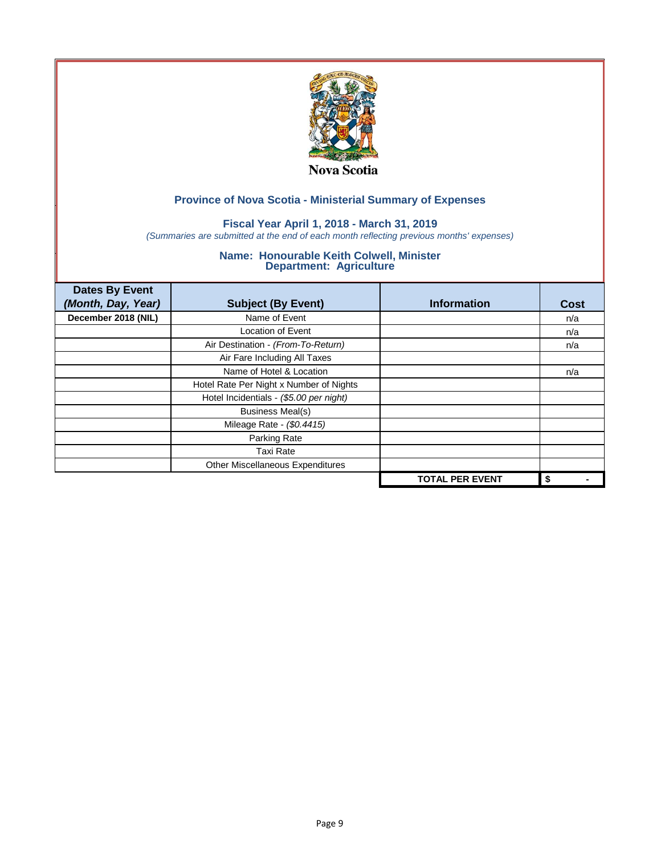

## **Fiscal Year April 1, 2018 - March 31, 2019**

*(Summaries are submitted at the end of each month reflecting previous months' expenses)*

| <b>Dates By Event</b> |                                         |                        |      |
|-----------------------|-----------------------------------------|------------------------|------|
| (Month, Day, Year)    | <b>Subject (By Event)</b>               | <b>Information</b>     | Cost |
| December 2018 (NIL)   | Name of Event                           |                        | n/a  |
|                       | <b>Location of Event</b>                |                        | n/a  |
|                       | Air Destination - (From-To-Return)      |                        | n/a  |
|                       | Air Fare Including All Taxes            |                        |      |
|                       | Name of Hotel & Location                |                        | n/a  |
|                       | Hotel Rate Per Night x Number of Nights |                        |      |
|                       | Hotel Incidentials - (\$5.00 per night) |                        |      |
|                       | <b>Business Meal(s)</b>                 |                        |      |
|                       | Mileage Rate - (\$0.4415)               |                        |      |
|                       | Parking Rate                            |                        |      |
|                       | <b>Taxi Rate</b>                        |                        |      |
|                       | Other Miscellaneous Expenditures        |                        |      |
|                       |                                         | <b>TOTAL PER EVENT</b> | \$   |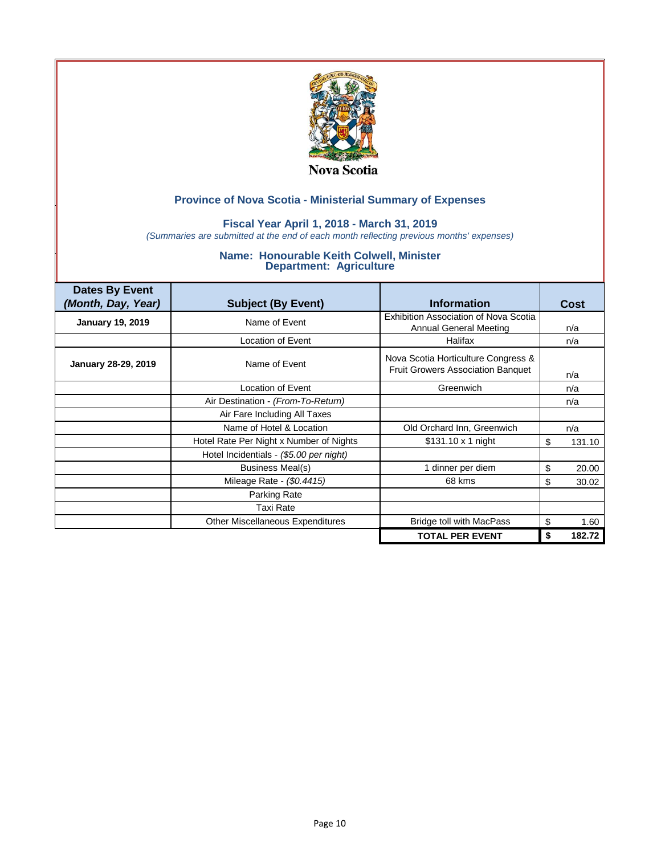

### **Fiscal Year April 1, 2018 - March 31, 2019**

*(Summaries are submitted at the end of each month reflecting previous months' expenses)*

| <b>Dates By Event</b><br>(Month, Day, Year) | <b>Subject (By Event)</b>               | <b>Information</b>                                                              | Cost         |
|---------------------------------------------|-----------------------------------------|---------------------------------------------------------------------------------|--------------|
| <b>January 19, 2019</b>                     | Name of Event                           | Exhibition Association of Nova Scotia<br><b>Annual General Meeting</b>          | n/a          |
|                                             | Location of Event                       | Halifax                                                                         | n/a          |
| January 28-29, 2019                         | Name of Event                           | Nova Scotia Horticulture Congress &<br><b>Fruit Growers Association Banquet</b> | n/a          |
|                                             | Location of Event                       | Greenwich                                                                       | n/a          |
|                                             | Air Destination - (From-To-Return)      |                                                                                 | n/a          |
|                                             | Air Fare Including All Taxes            |                                                                                 |              |
|                                             | Name of Hotel & Location                | Old Orchard Inn, Greenwich                                                      | n/a          |
|                                             | Hotel Rate Per Night x Number of Nights | \$131.10 x 1 night                                                              | \$<br>131.10 |
|                                             | Hotel Incidentials - (\$5.00 per night) |                                                                                 |              |
|                                             | Business Meal(s)                        | 1 dinner per diem                                                               | \$<br>20.00  |
|                                             | Mileage Rate - (\$0.4415)               | 68 kms                                                                          | \$<br>30.02  |
|                                             | Parking Rate                            |                                                                                 |              |
|                                             | Taxi Rate                               |                                                                                 |              |
|                                             | Other Miscellaneous Expenditures        | Bridge toll with MacPass                                                        | \$<br>1.60   |
|                                             |                                         | <b>TOTAL PER EVENT</b>                                                          | 182.72<br>\$ |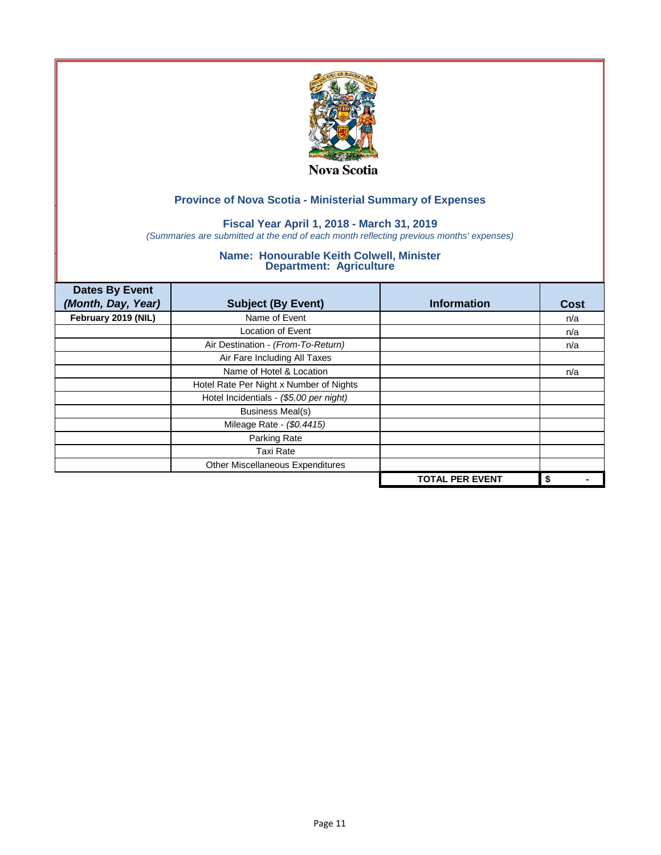

## **Fiscal Year April 1, 2018 - March 31, 2019**

*(Summaries are submitted at the end of each month reflecting previous months' expenses)*

| <b>Dates By Event</b> |                                         |                        |      |
|-----------------------|-----------------------------------------|------------------------|------|
| (Month, Day, Year)    | <b>Subject (By Event)</b>               | <b>Information</b>     | Cost |
| February 2019 (NIL)   | Name of Event                           |                        | n/a  |
|                       | <b>Location of Event</b>                |                        | n/a  |
|                       | Air Destination - (From-To-Return)      |                        | n/a  |
|                       | Air Fare Including All Taxes            |                        |      |
|                       | Name of Hotel & Location                |                        | n/a  |
|                       | Hotel Rate Per Night x Number of Nights |                        |      |
|                       | Hotel Incidentials - (\$5.00 per night) |                        |      |
|                       | <b>Business Meal(s)</b>                 |                        |      |
|                       | Mileage Rate - (\$0.4415)               |                        |      |
|                       | Parking Rate                            |                        |      |
|                       | <b>Taxi Rate</b>                        |                        |      |
|                       | Other Miscellaneous Expenditures        |                        |      |
|                       |                                         | <b>TOTAL PER EVENT</b> | \$   |